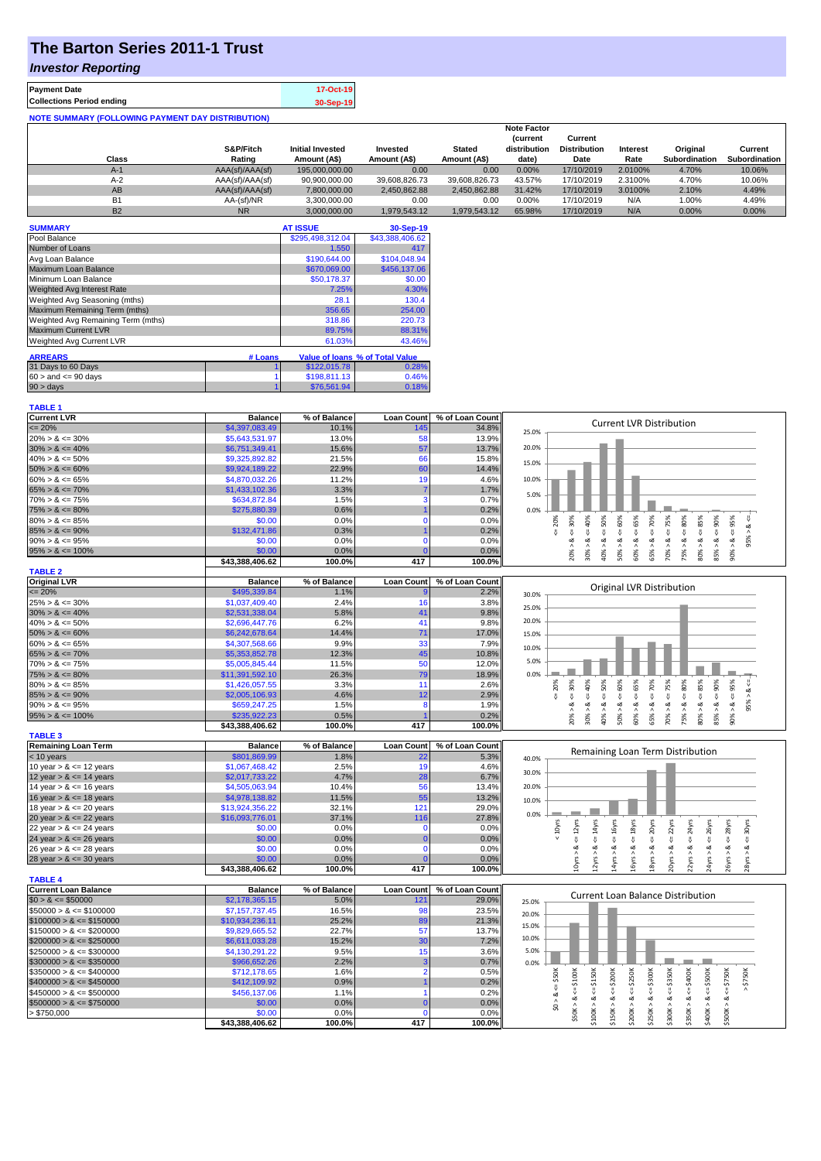# **The Barton Series 2011-1 Trust**

### *Investor Reporting*

| <b>Payment Date</b>                                      | 17-Oct-19 |
|----------------------------------------------------------|-----------|
| <b>Collections Period ending</b>                         | 30-Sep-19 |
| <b>NOTE SUMMARY (FOLLOWING PAYMENT DAY DISTRIBUTION)</b> |           |

|                |                 |                         |               |               | <b>Note Factor</b> |                     |                 |               |               |
|----------------|-----------------|-------------------------|---------------|---------------|--------------------|---------------------|-----------------|---------------|---------------|
|                |                 |                         |               |               | <b>Current</b>     | Current             |                 |               |               |
|                | S&P/Fitch       | <b>Initial Invested</b> | Invested      | <b>Stated</b> | distribution       | <b>Distribution</b> | <b>Interest</b> | Original      | Current       |
| Class          | Rating          | Amount (A\$)            | Amount (A\$)  | Amount (A\$)  | date)              | Date                | Rate            | Subordination | Subordination |
| $A-1$          | AAA(sf)/AAA(sf) | 195,000,000,00          | 0.00          | 0.00          | 0.00%              | 17/10/2019          | 2.0100%         | 4.70%         | 10.06%        |
| $A-2$          | AAA(sf)/AAA(sf) | 90,900,000.00           | 39.608.826.73 | 39.608.826.73 | 43.57%             | 17/10/2019          | 2.3100%         | 4.70%         | 10.06%        |
| AB             | AAA(sf)/AAA(sf) | 7,800,000.00            | 2.450.862.88  | 2.450.862.88  | 31.42%             | 17/10/2019          | 3.0100%         | 2.10%         | 4.49%         |
| B <sub>1</sub> | AA-(sf)/NR      | 3.300.000.00            | 0.00          | 0.00          | 0.00%              | 17/10/2019          | N/A             | 1.00%         | 4.49%         |
| <b>B2</b>      | <b>NR</b>       | 3.000.000.00            | 1.979.543.12  | 1.979.543.12  | 65.98%             | 17/10/2019          | N/A             | $0.00\%$      | 0.00%         |

| <b>SUMMARY</b>                     |         | <b>AT ISSUE</b>  | 30-Sep-19                       |
|------------------------------------|---------|------------------|---------------------------------|
| Pool Balance                       |         | \$295,498,312.04 | \$43,388,406.62                 |
| Number of Loans                    |         | 1,550            | 417                             |
| Avg Loan Balance                   |         | \$190,644.00     | \$104.048.94                    |
| Maximum Loan Balance               |         | \$670,069.00     | \$456,137.06                    |
| Minimum Loan Balance               |         | \$50,178.37      | \$0.00                          |
| <b>Weighted Avg Interest Rate</b>  |         | 7.25%            | 4.30%                           |
| Weighted Avg Seasoning (mths)      |         | 28.1             | 130.4                           |
| Maximum Remaining Term (mths)      |         | 356.65           | 254.00                          |
| Weighted Avg Remaining Term (mths) |         | 318.86           | 220.73                          |
| <b>Maximum Current LVR</b>         |         | 89.75%           | 88.31%                          |
| Weighted Avg Current LVR           |         | 61.03%           | 43.46%                          |
| <b>ARREARS</b>                     | # Loans |                  | Value of loans % of Total Value |
|                                    |         |                  |                                 |
| 31 Days to 60 Days                 |         | \$122,015.78     | 0.28%                           |
| $60 >$ and $\leq 90$ days          |         | \$198,811.13     | 0.46%                           |
| $90 > \text{days}$                 |         | \$76,561.94      | 0.18%                           |

| <b>TABLE 1</b>              |                 |              |                   |                 |                                                                                                                                                                                                               |
|-----------------------------|-----------------|--------------|-------------------|-----------------|---------------------------------------------------------------------------------------------------------------------------------------------------------------------------------------------------------------|
| <b>Current LVR</b>          | <b>Balance</b>  | % of Balance | <b>Loan Count</b> | % of Loan Count | <b>Current LVR Distribution</b>                                                                                                                                                                               |
| $\leq 20\%$                 | \$4,397,083.49  | 10.1%        | 145               | 34.8%           | 25.0%                                                                                                                                                                                                         |
| $20\% > 8 \le 30\%$         | \$5,643,531.97  | 13.0%        | 58                | 13.9%           |                                                                                                                                                                                                               |
| $30\% > 8 \le 40\%$         | \$6,751,349.41  | 15.6%        | 57                | 13.7%           | 20.0%                                                                                                                                                                                                         |
| $40\% > 8 \le 50\%$         | \$9,325,892.82  | 21.5%        | 66                | 15.8%           |                                                                                                                                                                                                               |
| $50\% > 8 \le 60\%$         | \$9,924,189.22  | 22.9%        | 60                | 14.4%           | 15.0%                                                                                                                                                                                                         |
| $60\% > 8 \le 65\%$         | \$4,870,032.26  | 11.2%        | 19                | 4.6%            | 10.0%                                                                                                                                                                                                         |
| $65\% > 8 \le 70\%$         | \$1,433,102.36  | 3.3%         |                   | 1.7%            |                                                                                                                                                                                                               |
| $70\% > 8 \le 75\%$         | \$634,872.84    | 1.5%         | 3                 | 0.7%            | 5.0%                                                                                                                                                                                                          |
| $75\% > 8 \le 80\%$         | \$275,880.39    | 0.6%         |                   | 0.2%            | 0.0%                                                                                                                                                                                                          |
| $80\% > 8 \le 85\%$         | \$0.00          | 0.0%         | $\mathbf{0}$      | 0.0%            | $\le 60\%$<br>95%<br>20%                                                                                                                                                                                      |
| $85\% > 8 \le 90\%$         | \$132,471.86    | 0.3%         |                   | 0.2%            | $<=30\%$<br>58%<br>$4 = 70\%$<br>ż<br>V                                                                                                                                                                       |
| $90\% > 8 \le 95\%$         | \$0.00          | 0.0%         | $\Omega$          | 0.0%            | 95%<br>ઌ<br>ઌૻ<br>ವ                                                                                                                                                                                           |
| $95\% > 8 \le 100\%$        | \$0.00          | 0.0%         |                   | 0.0%            | $30\% > 8 <= 40\%$<br>$40\% > 8 < = 50\%$<br>$80\% > 8 <= 85\%$<br>$85\% > 8 < = 90\%$<br>$70\% > 8 <= 75\%$<br>$75\% > 8 <= 80\%$<br>50% > 8<br>20% ><br>60% ><br>65% ><br>90% >                             |
|                             | \$43,388,406.62 | 100.0%       | 417               | 100.0%          |                                                                                                                                                                                                               |
| <b>TABLE 2</b>              |                 |              |                   |                 |                                                                                                                                                                                                               |
| <b>Original LVR</b>         | <b>Balance</b>  | % of Balance | <b>Loan Count</b> | % of Loan Count |                                                                                                                                                                                                               |
| $\leq$ 20%                  | \$495,339.84    | 1.1%         |                   | 2.2%            | Original LVR Distribution<br>30.0%                                                                                                                                                                            |
| $25\% > 8 \le 30\%$         | \$1,037,409.40  | 2.4%         | 16                | 3.8%            |                                                                                                                                                                                                               |
| $30\% > 8 \le 40\%$         | \$2,531,338.04  | 5.8%         | 41                | 9.8%            | 25.0%                                                                                                                                                                                                         |
| $40\% > 8 \le 50\%$         | \$2,696,447.76  | 6.2%         | 41                | 9.8%            | 20.0%                                                                                                                                                                                                         |
| $50\% > 8 \le 60\%$         | \$6,242,678.64  | 14.4%        | 71                | 17.0%           | 15.0%                                                                                                                                                                                                         |
| $60\% > 8 \le 65\%$         | \$4,307,568.66  | 9.9%         | 33                | 7.9%            |                                                                                                                                                                                                               |
| $65\% > 8 \le 70\%$         | \$5,353,852.78  | 12.3%        | 45                | 10.8%           | 10.0%                                                                                                                                                                                                         |
| $70\% > 8 \le 75\%$         | \$5,005,845.44  | 11.5%        | 50                | 12.0%           | 5.0%                                                                                                                                                                                                          |
| $75\% > 8 \le 80\%$         | \$11,391,592.10 | 26.3%        | 79                | 18.9%           | 0.0%                                                                                                                                                                                                          |
| $80\% > 8 \le 85\%$         | \$1,426,057.55  | 3.3%         | 11                | 2.6%            | 85%<br>30%<br>50%<br>60%<br>65%<br>70%<br>95%<br>20%                                                                                                                                                          |
| $85\% > 8 \le 90\%$         | \$2,005,106.93  | 4.6%         | 12                | 2.9%            | $4 = 90\%$<br>40%<br>$4 = 75\%$<br>$<= 80\%$<br>$\frac{8}{10}$<br>V<br>$\overset{\shortparallel}{\vee}$<br>$\sqrt{ }$<br>$\overset{\shortparallel}{\mathsf{v}}$<br>V<br>共                                     |
| $90\% > 8 \le 95\%$         | \$659,247.25    | 1.5%         | 8                 | 1.9%            | $80\% > 8 \leq$<br>V<br>95%<br>ಷ<br>ಷ<br>∞<br>ಷ<br>œ<br>ಷ<br>ವ                                                                                                                                                |
| $95\% > 8 \le 100\%$        | \$235,922.23    | 0.5%         |                   | 0.2%            | $70\% > 8.$<br>85% > 8<br>75% > 8.<br>30% ><br>40% ><br>50% ><br>60% ><br>90%<br>20% ><br>65% >                                                                                                               |
|                             | \$43,388,406.62 | 100.0%       | 417               | 100.0%          |                                                                                                                                                                                                               |
| <b>TABLE 3</b>              |                 |              |                   |                 |                                                                                                                                                                                                               |
| <b>Remaining Loan Term</b>  | <b>Balance</b>  | % of Balance | <b>Loan Count</b> | % of Loan Count |                                                                                                                                                                                                               |
| $<$ 10 years                | \$801,869.99    | 1.8%         | 22                | 5.3%            | Remaining Loan Term Distribution<br>40.0%                                                                                                                                                                     |
| 10 year $> 8 \le 12$ years  | \$1,067,468.42  | 2.5%         | 19                | 4.6%            |                                                                                                                                                                                                               |
| 12 year $> 8 \le 14$ years  | \$2,017,733.22  | 4.7%         | 28                | 6.7%            | 30.0%                                                                                                                                                                                                         |
| 14 year $> 8 \le 16$ years  | \$4,505,063.94  | 10.4%        | 56                | 13.4%           | 20.0%                                                                                                                                                                                                         |
| 16 year $> 8 \le 18$ years  | \$4,978,138.82  | 11.5%        | 55                | 13.2%           |                                                                                                                                                                                                               |
| 18 year $> 8 \le 20$ years  | \$13,924,356.22 | 32.1%        | 121               | 29.0%           | 10.0%                                                                                                                                                                                                         |
| 20 year $> 8 \le 22$ years  | \$16,093,776.01 | 37.1%        | 116               | 27.8%           | 0.0%                                                                                                                                                                                                          |
| 22 year $> 8 \le 24$ years  | \$0.00          | 0.0%         | $\mathbf 0$       | 0.0%            | $\leq$ 20yrs<br>$\epsilon$ = 22 $\gamma$ rs<br>$\leq$ 24yrs<br>$\leq 14$ yrs<br>$4 = 16yrs$<br>$\leq 18$ yrs<br>$\leq$ 28 $\gamma$ rs<br>$< 10Y$ rs<br>$\leq 12$ yrs<br>$\leq$ 26yrs<br>30yrs                 |
| 24 year $> 8 \le 26$ years  | \$0.00          | 0.0%         | $\Omega$          | 0.0%            | 쁬                                                                                                                                                                                                             |
| 26 year $> 8 \le 28$ years  | \$0.00          | 0.0%         | $\mathbf{0}$      | 0.0%            | ઌ<br>∞<br>ಷ<br>ಷ<br>ಷ<br>ಷ<br>ಷ<br>œ<br>≪                                                                                                                                                                     |
| 28 year $> 8 \le 30$ years  | \$0.00          | 0.0%         |                   | 0.0%            | 2yrs                                                                                                                                                                                                          |
|                             | \$43,388,406.62 | 100.0%       | 417               | 100.0%          | 24yrs > 8<br>10yrs ><br>14yrs<br>16yrs><br>18yrs<br>20yrs<br>22yrs ><br>26yrs ><br>28yrs >                                                                                                                    |
| <b>TABLE 4</b>              |                 |              |                   |                 |                                                                                                                                                                                                               |
| <b>Current Loan Balance</b> | <b>Balance</b>  | % of Balance | <b>Loan Count</b> | % of Loan Count |                                                                                                                                                                                                               |
| $$0 > 8 \le $50000$         | \$2,178,365.15  | 5.0%         | 121               | 29.0%           | <b>Current Loan Balance Distribution</b><br>25.0%                                                                                                                                                             |
| $$50000 > 8 \le $100000$    | \$7,157,737.45  | 16.5%        | 98                | 23.5%           |                                                                                                                                                                                                               |
| $$100000 > 8 \le $150000$   | \$10,934,236.11 | 25.2%        | <b>89</b>         | 21.3%           | 20.0%                                                                                                                                                                                                         |
| $$150000 > 8 \leq $200000$  | \$9,829,665.52  | 22.7%        | 57                | 13.7%           | 15.0%                                                                                                                                                                                                         |
| $$200000 > 8 \leq $250000$  | \$6,611,033.28  | 15.2%        | 30                | 7.2%            | 10.0%                                                                                                                                                                                                         |
| $$250000 > 8 \leq $300000$  | \$4,130,291.22  | 9.5%         | 15                | 3.6%            | 5.0%                                                                                                                                                                                                          |
| $$300000 > 8 \leq $350000$  | \$966,652.26    | 2.2%         | 3                 | 0.7%            | 0.0%                                                                                                                                                                                                          |
| $$350000 > 8 \leq $400000$  | \$712,178.65    | 1.6%         | $\overline{2}$    | 0.5%            |                                                                                                                                                                                                               |
| $$400000 > 8 \leq $450000$  | \$412,109.92    | 0.9%         |                   | 0.2%            | \$300K<br>\$50K<br><b>\$250K</b><br>\$750K<br>$4 = $750K$                                                                                                                                                     |
| $$450000 > 8 \le $500000$   | \$456,137.06    | 1.1%         |                   | 0.2%            | $\frac{11}{5}$                                                                                                                                                                                                |
|                             |                 | 0.0%         |                   | 0.0%            | ઌ                                                                                                                                                                                                             |
| $$500000 > 8 \le $750000$   | \$0.00          |              |                   |                 | $$50K > 8 \le 5100K$<br>$$100K > 8 <= $150K$<br>$$150K > <= $200K$<br>$$300K > <= $350K$<br>$$350K > 8 <= $400K$<br>$$400K > 8 <= $500K$<br>$$200K > 8 < =$<br>$$250K > 8 < =$<br>\$500K > 8<br>$\frac{1}{2}$ |
| > \$750,000                 | \$0.00          | 0.0%         | $\Omega$<br>417   | 0.0%            |                                                                                                                                                                                                               |
|                             | \$43,388,406.62 | 100.0%       |                   | 100.0%          |                                                                                                                                                                                                               |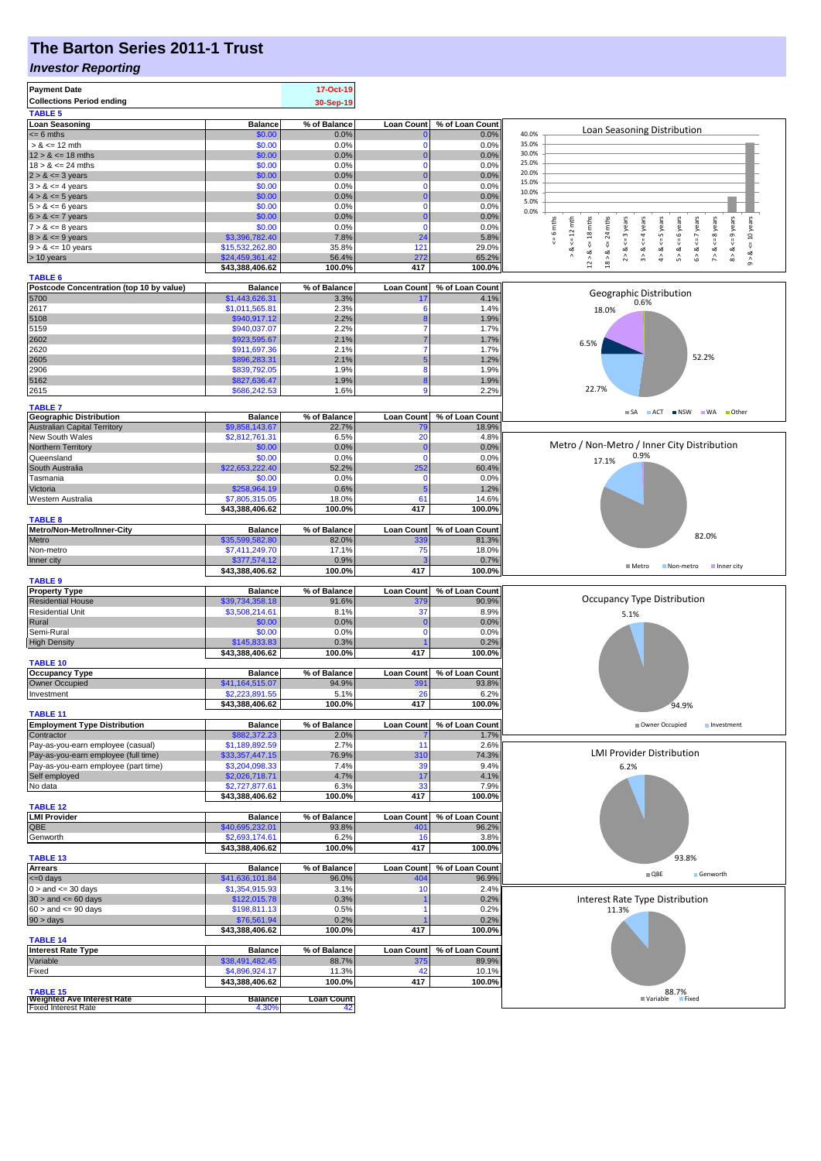# **The Barton Series 2011-1 Trust**

#### *Investor Reporting*

| <b>Payment Date</b><br><b>Collections Period ending</b>                      |                                   | 17-Oct-19<br>30-Sep-19      |                         |                         |                                                                                                                                                                                                        |
|------------------------------------------------------------------------------|-----------------------------------|-----------------------------|-------------------------|-------------------------|--------------------------------------------------------------------------------------------------------------------------------------------------------------------------------------------------------|
| <b>TABLE 5</b>                                                               |                                   |                             |                         |                         |                                                                                                                                                                                                        |
| <b>Loan Seasoning</b>                                                        | <b>Balance</b>                    | % of Balance                | <b>Loan Count</b>       | % of Loan Count         |                                                                                                                                                                                                        |
| $= 6$ mths                                                                   | \$0.00                            | 0.0%                        |                         | 0.0%                    | Loan Seasoning Distribution<br>40.0%                                                                                                                                                                   |
| $> 8 \le 12$ mth                                                             | \$0.00                            | 0.0%                        | 0                       | 0.0%                    | 35.0%<br>30.0%                                                                                                                                                                                         |
| $12 > 8 \le 18$ mths<br>$18 > 8 \le 24$ mths                                 | \$0.00<br>\$0.00                  | 0.0%<br>0.0%                | 0                       | 0.0%<br>0.0%            | 25.0%                                                                                                                                                                                                  |
| $2 > 8 \le 3$ years                                                          | \$0.00                            | 0.0%                        |                         | 0.0%                    | 20.0%                                                                                                                                                                                                  |
| $3 > 8 \le 4$ years                                                          | \$0.00                            | 0.0%                        | $\Omega$                | 0.0%                    | 15.0%                                                                                                                                                                                                  |
| $4 > 8 \le 5$ years                                                          | \$0.00                            | 0.0%                        |                         | 0.0%                    | 10.0%<br>5.0%                                                                                                                                                                                          |
| $5 > 8 \le 6$ years                                                          | \$0.00                            | 0.0%                        | $\Omega$                | 0.0%                    | 0.0%                                                                                                                                                                                                   |
| $6 > 8 \le 7$ years                                                          | \$0.00                            | 0.0%                        |                         | 0.0%                    | $m$                                                                                                                                                                                                    |
| $7 > 8 \le 8$ years<br>$8 > 8 \le 9$ years                                   | \$0.00<br>\$3,396,782.40          | 0.0%<br>7.8%                | $\mathbf 0$<br>24       | 0.0%<br>5.8%            | $<=10$ years<br>$\leq$ 6 mths<br>$<=$ 3 years<br>$\leq 12$ mth<br>$^{24}$                                                                                                                              |
| $9 > 8 \le 10$ years                                                         | \$15,532,262.80                   | 35.8%                       | 121                     | 29.0%                   | $\overset{\shortparallel}{\mathsf{v}}$<br>ಷ                                                                                                                                                            |
| > 10 years                                                                   | \$24,459,361.42                   | 56.4%                       | 272                     | 65.2%                   | $7 > 8 <$ <= 8 years<br>$8 > 8 < = 9$ years<br>$12 > 8$ <= 18 mths<br>$3 > 8 < 4$ years<br>$4 > 8 < z = 5$ years<br>$5 > 8 < 6$ years<br>$6 > 8 < 7$ years<br>$18 > 8$ .<br>$\hat{2}$<br>$\hat{\circ}$ |
|                                                                              | \$43,388,406.62                   | 100.0%                      | 417                     | 100.0%                  |                                                                                                                                                                                                        |
| <b>TABLE 6</b>                                                               |                                   |                             |                         |                         |                                                                                                                                                                                                        |
| Postcode Concentration (top 10 by value)<br>5700                             | <b>Balance</b><br>\$1,443,626.31  | % of Balance<br>3.3%        | <b>Loan Count</b><br>17 | % of Loan Count<br>4.1% | Geographic Distribution                                                                                                                                                                                |
| 2617                                                                         | \$1,011,565.81                    | 2.3%                        | 6                       | 1.4%                    | 0.6%<br>18.0%                                                                                                                                                                                          |
| 5108                                                                         | \$940,917.12                      | 2.2%                        |                         | 1.9%                    |                                                                                                                                                                                                        |
| 5159                                                                         | \$940,037.07                      | 2.2%                        |                         | 1.7%                    |                                                                                                                                                                                                        |
| 2602                                                                         | \$923,595.67                      | 2.1%                        |                         | 1.7%                    | 6.5%                                                                                                                                                                                                   |
| 2620                                                                         | \$911,697.36                      | 2.1%                        |                         | 1.7%                    | 52.2%                                                                                                                                                                                                  |
| 2605<br>2906                                                                 | \$896,283.31<br>\$839,792.05      | 2.1%<br>1.9%                | 8                       | 1.2%<br>1.9%            |                                                                                                                                                                                                        |
| 5162                                                                         | \$827,636.47                      | 1.9%                        | 8                       | 1.9%                    |                                                                                                                                                                                                        |
| 2615                                                                         | \$686,242.53                      | 1.6%                        | 9                       | 2.2%                    | 22.7%                                                                                                                                                                                                  |
|                                                                              |                                   |                             |                         |                         |                                                                                                                                                                                                        |
| <b>TABLE 7</b><br><b>Geographic Distribution</b>                             | <b>Balance</b>                    | % of Balance                | <b>Loan Count</b>       | % of Loan Count         | ACT NSW WA<br>■ Other<br>$\blacksquare$ SA                                                                                                                                                             |
| <b>Australian Capital Territory</b>                                          | \$9,858,143.67                    | 22.7%                       | 79                      | 18.9%                   |                                                                                                                                                                                                        |
| New South Wales                                                              | \$2,812,761.31                    | 6.5%                        | 20                      | 4.8%                    |                                                                                                                                                                                                        |
| Northern Territory                                                           | \$0.00                            | 0.0%                        | 0                       | 0.0%                    | Metro / Non-Metro / Inner City Distribution                                                                                                                                                            |
| Queensland                                                                   | \$0.00                            | 0.0%                        | $\Omega$                | 0.0%                    | 0.9%<br>17.1%                                                                                                                                                                                          |
| South Australia<br>Tasmania                                                  | \$22,653,222,40<br>\$0.00         | 52.2%<br>0.0%               | 252<br>0                | 60.4%<br>0.0%           |                                                                                                                                                                                                        |
| Victoria                                                                     | \$258,964.19                      | 0.6%                        | 5                       | 1.2%                    |                                                                                                                                                                                                        |
| Western Australia                                                            | \$7,805,315.05                    | 18.0%                       | 61                      | 14.6%                   |                                                                                                                                                                                                        |
|                                                                              | \$43,388,406.62                   | 100.0%                      | 417                     | 100.0%                  |                                                                                                                                                                                                        |
| <b>TABLE 8</b>                                                               |                                   |                             |                         |                         |                                                                                                                                                                                                        |
| Metro/Non-Metro/Inner-City                                                   | <b>Balance</b>                    | % of Balance                | Loan Count              | % of Loan Count         | 82.0%                                                                                                                                                                                                  |
| Metro<br>Non-metro                                                           | \$35,599,582.80<br>\$7,411,249.70 | 82.0%<br>17.1%              | 339<br>75               | 81.3%<br>18.0%          |                                                                                                                                                                                                        |
|                                                                              |                                   |                             |                         |                         |                                                                                                                                                                                                        |
|                                                                              |                                   |                             |                         |                         |                                                                                                                                                                                                        |
| Inner city                                                                   | \$377,574.12<br>\$43,388,406.62   | 0.9%<br>100.0%              | 417                     | 0.7%<br>100.0%          | $M$ Metro<br>Non-metro Inner city                                                                                                                                                                      |
| <b>TABLE 9</b>                                                               |                                   |                             |                         |                         |                                                                                                                                                                                                        |
| <b>Property Type</b>                                                         | <b>Balance</b>                    | % of Balance                | <b>Loan Count</b>       | % of Loan Count         |                                                                                                                                                                                                        |
| <b>Residential House</b>                                                     | \$39,734,358.18                   | 91.6%                       | 379                     | 90.9%                   | Occupancy Type Distribution                                                                                                                                                                            |
| <b>Residential Unit</b>                                                      | \$3,508,214.61                    | 8.1%                        | 37<br>C                 | 8.9%                    | 5.1%                                                                                                                                                                                                   |
| Rural<br>Semi-Rural                                                          | \$0.00<br>\$0.00                  | 0.0%<br>0.0%                | $\Omega$                | 0.0%<br>0.0%            |                                                                                                                                                                                                        |
| <b>High Density</b>                                                          | \$145,833.83                      | 0.3%                        |                         | 0.2%                    |                                                                                                                                                                                                        |
|                                                                              | \$43,388,406.62                   | 100.0%                      | 417                     | 100.0%                  |                                                                                                                                                                                                        |
| <b>TABLE 10</b>                                                              |                                   |                             |                         |                         |                                                                                                                                                                                                        |
| <b>Occupancy Type</b>                                                        | <b>Balance</b>                    | % of Balance                | <b>Loan Count</b>       | % of Loan Count         |                                                                                                                                                                                                        |
| Owner Occupied                                                               | \$41,164,515.07                   | 94.9%                       | 391                     | 93.8%                   |                                                                                                                                                                                                        |
| mvestment                                                                    | \$2,223,891.55<br>\$43,388,406.62 | 5.1%<br>100.0%              | zc<br>417               | 6.2%<br>100.0%          |                                                                                                                                                                                                        |
| <b>TABLE 11</b>                                                              |                                   |                             |                         |                         | 94.9%                                                                                                                                                                                                  |
| <b>Employment Type Distribution</b>                                          | <b>Balance</b>                    | % of Balance                | <b>Loan Count</b>       | % of Loan Count         | Owner Occupied<br>Investment                                                                                                                                                                           |
| Contractor                                                                   | \$882,372.23                      | 2.0%                        |                         | 1.7%                    |                                                                                                                                                                                                        |
| Pay-as-you-earn employee (casual)                                            | \$1,189,892.59                    | 2.7%                        | 11                      | 2.6%                    |                                                                                                                                                                                                        |
| Pay-as-you-earn employee (full time)<br>Pay-as-you-earn employee (part time) | \$33,357,447.15                   | 76.9%                       | 310                     | 74.3%                   | <b>LMI Provider Distribution</b>                                                                                                                                                                       |
| Self employed                                                                | \$3,204,098.33<br>\$2,026,718.71  | 7.4%<br>4.7%                | 39<br>17                | 9.4%<br>4.1%            | 6.2%                                                                                                                                                                                                   |
| No data                                                                      | \$2,727,877.61                    | 6.3%                        | 33                      | 7.9%                    |                                                                                                                                                                                                        |
|                                                                              | \$43,388,406.62                   | 100.0%                      | 417                     | 100.0%                  |                                                                                                                                                                                                        |
| <b>TABLE 12</b>                                                              |                                   |                             |                         |                         |                                                                                                                                                                                                        |
| <b>LMI Provider</b>                                                          | <b>Balance</b>                    | % of Balance                | <b>Loan Count</b>       | % of Loan Count         |                                                                                                                                                                                                        |
| QBE<br>Genworth                                                              | \$40,695,232.01<br>\$2,693,174.61 | 93.8%<br>6.2%               | 401<br>16               | 96.2%<br>3.8%           |                                                                                                                                                                                                        |
|                                                                              | \$43,388,406.62                   | 100.0%                      | 417                     | 100.0%                  |                                                                                                                                                                                                        |
| <b>TABLE 13</b>                                                              |                                   |                             |                         |                         | 93.8%                                                                                                                                                                                                  |
| <b>Arrears</b>                                                               | <b>Balance</b>                    | % of Balance                | <b>Loan Count</b>       | % of Loan Count         | $\blacksquare$ QBE<br>Genworth                                                                                                                                                                         |
| $\leq 0$ days                                                                | \$41,636,101.84                   | 96.0%                       | 404                     | 96.9%                   |                                                                                                                                                                                                        |
| $0 >$ and $\leq 30$ days                                                     | \$1,354,915.93                    | 3.1%                        | 10                      | 2.4%                    |                                                                                                                                                                                                        |
| $30 >$ and $\leq 60$ days<br>$60 >$ and $\leq 90$ days                       | \$122,015.78<br>\$198,811.13      | 0.3%<br>0.5%                |                         | 0.2%<br>0.2%            | Interest Rate Type Distribution                                                                                                                                                                        |
| $90 > \text{days}$                                                           | \$76,561.94                       | 0.2%                        |                         | 0.2%                    | 11.3%                                                                                                                                                                                                  |
|                                                                              | \$43,388,406.62                   | 100.0%                      | 417                     | 100.0%                  |                                                                                                                                                                                                        |
| <b>TABLE 14</b>                                                              |                                   |                             |                         |                         |                                                                                                                                                                                                        |
| <b>Interest Rate Type</b>                                                    | <b>Balance</b>                    | % of Balance                | <b>Loan Count</b>       | % of Loan Count         |                                                                                                                                                                                                        |
| Variable                                                                     | \$38,491,482.45                   | 88.7%                       | 375                     | 89.9%                   |                                                                                                                                                                                                        |
| Fixed                                                                        | \$4,896,924.17                    | 11.3%                       | 42<br>417               | 10.1%<br>100.0%         |                                                                                                                                                                                                        |
| <b>TABLE 15</b><br><b>Weighted Ave Interest Rate</b>                         | \$43,388,406.62<br><b>Balance</b> | 100.0%<br><b>Loan Count</b> |                         |                         | 88.7%<br>■ Variable<br>Fixed                                                                                                                                                                           |